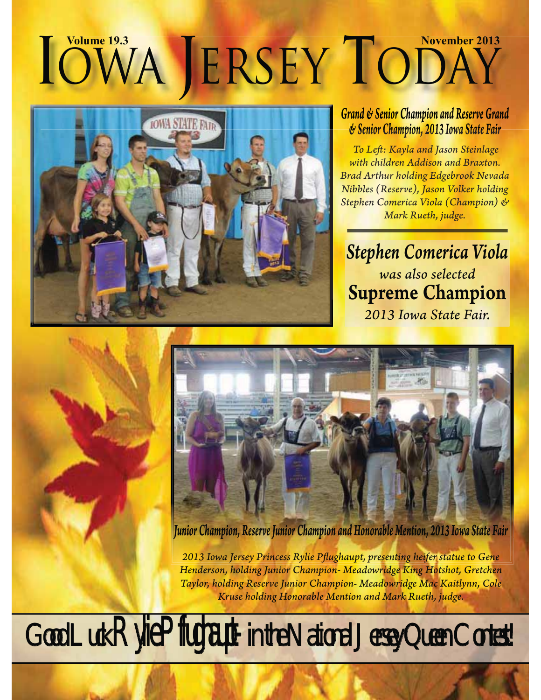# **CONVA JERSEY CODAY**<br>
Grand & Senior Champion and Reserve Gran<br>
WASHIPERSEY Crambion 2013 Iowa State Fair



#### *Grand & Senior Champion and Reserve Grand and Reserve Grand & Senior Champion, 2013 Iowa State Fair*

*To Left : Kayla and Jason Steinlage with children Addison and Braxton. Brad Arthur holding Edgebrook Nevada Nibbles (Reserve), Jason Volker holding Stephen Comerica Viola (Champion) & Mark Rueth, judge.*

# *Stephen Comerica Viola was also selected*  Supreme Champion *2013 Iowa State Fair.*



*Junior Champion, Reserve Junior Champion and Honorable Mention, 2013 Iowa State Fair*

*2013 Iowa Jersey Princess Rylie Pfl ughaupt, presenting heifer statue to Gene Henderson, holding Junior Champion- Meadowridge King Hotshot, Gretchen Taylor, holding Reserve Junior Champion- Meadowridge Mac Kaitlynn, Cole Kruse holding Honorable Mention and Mark Rueth, judge.*

Good Luck Rylie Pflughaupt- in the National Jersey Queen Contest!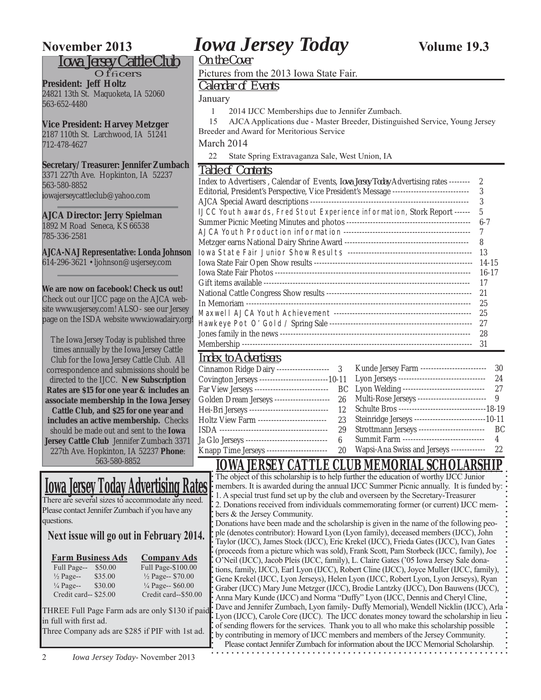#### *Iowa Jersey Cattle Club*

 $O$ f $f$ ficers **President: Jeff Holtz** 24821 13th St. Maquoketa, IA 52060 563-652-4480

#### **Vice President: Harvey Metzger**

2187 110th St. Larchwood, IA 51241 712-478-4627

#### **Secretary/Treasurer: Jennifer Zumbach**

3371 227th Ave. Hopkinton, IA 52237 563-580-8852 iowajerseycattleclub@yahoo.com

#### **AJCA Director: Jerry Spielman**

1892 M Road Seneca, KS 66538 785-336-2581

**AJCA-NAJ Representative: Londa Johnson** 614-296-3621 • ljohnson@usjersey.com

#### **We are now on facebook! Check us out!**

Check out our IJCC page on the AJCA website www.usjersey.com! ALSO- see our Jersey page on the ISDA website www.iowadairy.org!

The Iowa Jersey Today is published three times annually by the Iowa Jersey Cattle Club for the Iowa Jersey Cattle Club. All correspondence and submissions should be directed to the IJCC. **New Subscription Rates are \$15 for one year & includes an associate membership in the Iowa Jersey Cattle Club, and \$25 for one year and includes an active membership.** Checks should be made out and sent to the **Iowa Jersey Cattle Club** Jennifer Zumbach 3371 227th Ave. Hopkinton, IA 52237 **Phone**: 563-580-8852

# **Iowa Jersey Today Advertising Rates**

There are several sizes to accommodate any need. Please contact Jennifer Zumbach if you have any questions.

#### **Next issue will go out in February 2014.**

|                      | <b>Farm Business Ads</b>                                   | <b>Company Ads</b>                            |
|----------------------|------------------------------------------------------------|-----------------------------------------------|
| $E_{22}$ 11 $D_{22}$ | $\mathfrak{c}\mathfrak{c}\cap\mathfrak{c}\cap\mathfrak{c}$ | $E_{\rm H}$ 11 D <sub>aga</sub> $\ell$ 100.00 |

| Full Page--           | \$50.00 |
|-----------------------|---------|
| $\frac{1}{2}$ Page--  | \$35.00 |
| $\frac{1}{4}$ Page--  | \$30.00 |
| Credit card-- \$25.00 |         |

Full Page-\$100.00 <sup>1</sup>/<sub>2</sub> Page-- \$70.00 <sup>1</sup>/<sub>4</sub> Page-- \$60.00 Credit card--\$50.00

THREE Full Page Farm ads are only \$130 if paid in full with first ad.

Three Company ads are \$285 if PIF with 1st ad.

# **November 2013** *Iowa Jersey Today* **Volume 19.3**

*On the Cover*

#### Pictures from the 2013 Iowa State Fair.

*Calendar of Events*

January

1 2014 IJCC Memberships due to Jennifer Zumbach.

 15 AJCA Applications due - Master Breeder, Distinguished Service, Young Jersey Breeder and Award for Meritorious Service

March 2014

22 State Spring Extravaganza Sale, West Union, IA

#### *Table of Contents*

| TUDIU UT OVIIIUIIIJ                                                                           |               |
|-----------------------------------------------------------------------------------------------|---------------|
| Index to Advertisers, Calendar of Events, <i>Iowa Jersey Today</i> Advertising rates -------- | $\mathcal{P}$ |
| Editorial, President's Perspective, Vice President's Message ---------------------------      | 3             |
|                                                                                               | 3             |
| IJCC Youth awards, Fred Stout Experience information, Stork Report ------                     | 5             |
|                                                                                               | $6 - 7$       |
|                                                                                               |               |
|                                                                                               | 8             |
|                                                                                               | 13            |
|                                                                                               | $14 - 15$     |
|                                                                                               | $16 - 17$     |
|                                                                                               | 17            |
|                                                                                               | 21            |
|                                                                                               | 25            |
|                                                                                               | 25            |
|                                                                                               | 27            |
|                                                                                               | -28           |
|                                                                                               | 31            |
|                                                                                               |               |

# *Index to Advertisers*

| $11100 \times 10001010100000$ |                                                                                                     |  |
|-------------------------------|-----------------------------------------------------------------------------------------------------|--|
|                               | Cinnamon Ridge Dairy -------------------- 3 Kunde Jersey Farm ------------------------ 30           |  |
|                               |                                                                                                     |  |
|                               | Far View Jerseys --------------------------- BC Lyon Welding ----------------------------- 27       |  |
|                               | Golden Dream Jerseys -------------------- 26 Multi-Rose Jerseys ------------------------- 9         |  |
|                               |                                                                                                     |  |
|                               | Holtz View Farm ------------------------- 23 Steinridge Jerseys ------------------------------10-11 |  |
|                               |                                                                                                     |  |
|                               | Ja Glo Jerseys ------------------------------- 6 Summit Farm ------------------------------- 4      |  |
|                               | Knapp Time Jerseys ----------------------- 20 Wapsi-Ana Swiss and Jerseys ------------- 22          |  |
|                               |                                                                                                     |  |

#### **IOWA JERSEY CATTLE CLUB MEMORIAL SCHOLARSHIP**

The object of this scholarship is to help further the education of worthy IJCC Junior members. It is awarded during the annual IJCC Summer Picnic annually. It is funded by: 1. A special trust fund set up by the club and overseen by the Secretary-Treasurer 2. Donations received from individuals commemorating former (or current) IJCC members & the Jersey Community.

Donations have been made and the scholarship is given in the name of the following people (denotes contributor): Howard Lyon (Lyon family), deceased members (IJCC), John Taylor (IJCC), James Stock (IJCC), Eric Krekel (IJCC), Frieda Gates (IJCC), Ivan Gates (proceeds from a picture which was sold), Frank Scott, Pam Storbeck (IJCC, family), Joe O'Neil (IJCC), Jacob Pleis (IJCC, family), L. Claire Gates ('05 Iowa Jersey Sale donations, family, IJCC), Earl Lyon (IJCC), Robert Cline (IJCC), Joyce Muller (IJCC, family), Gene Krekel (IJCC, Lyon Jerseys), Helen Lyon (IJCC, Robert Lyon, Lyon Jerseys), Ryan Graber (IJCC) Mary June Metzger (IJCC), Brodie Lantzky (IJCC), Don Bauwens (IJCC), Anna Mary Kunde (IJCC) and Norma "Duffy" Lyon (IJCC, Dennis and Cheryl Cline, Dave and Jennifer Zumbach, Lyon family- Duffy Memorial), Wendell Nicklin (IJCC), Arla Lyon (IJCC), Carole Core (IJCC). The IJCC donates money toward the scholarship in lieu of sending flowers for the services. Thank you to all who make this scholarship possible by contributing in memory of IJCC members and members of the Jersey Community. Please contact Jennifer Zumbach for information about the IJCC Memorial Scholarship.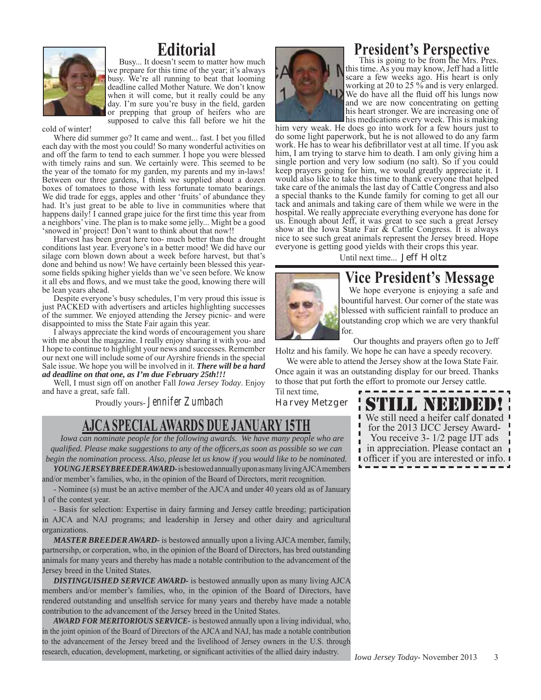

## **Editorial**

Busy... It doesn't seem to matter how much we prepare for this time of the year; it's always busy. We're all running to beat that looming deadline called Mother Nature. We don't know when it will come, but it really could be any day. I'm sure you're busy in the field, garden or prepping that group of heifers who are supposed to calve this fall before we hit the

cold of winter!

Where did summer go? It came and went... fast. I bet you filled each day with the most you could! So many wonderful activities on and off the farm to tend to each summer. I hope you were blessed with timely rains and sun. We certainly were. This seemed to be the year of the tomato for my garden, my parents and my in-laws! Between our three gardens, I think we supplied about a dozen boxes of tomatoes to those with less fortunate tomato bearings. We did trade for eggs, apples and other 'fruits' of abundance they had. It's just great to be able to live in communities where that happens daily! I canned grape juice for the first time this year from a neighbors' vine. The plan is to make some jelly... Might be a good 'snowed in' project! Don't want to think about that now!!

Harvest has been great here too- much better than the drought conditions last year. Everyone's in a better mood! We did have our silage corn blown down about a week before harvest, but that's done and behind us now! We have certainly been blessed this yearsome fields spiking higher yields than we've seen before. We know it all ebs and flows, and we must take the good, knowing there will be lean years ahead.

Despite everyone's busy schedules, I'm very proud this issue is just PACKED with advertisers and articles highlighting successes of the summer. We enjoyed attending the Jersey picnic- and were disappointed to miss the State Fair again this year.

I always appreciate the kind words of encouragement you share with me about the magazine. I really enjoy sharing it with you- and I hope to continue to highlight your news and successes. Remember our next one will include some of our Ayrshire friends in the special Sale issue. We hope you will be involved in it. *There will be a hard ad deadline on that one, as I'm due February 25th!!!*

Well, I must sign off on another Fall *Iowa Jersey Today*. Enjoy and have a great, safe fall.

Proudly yours- Jennifer Zumbach

## **AJCA SPECIAL AWARDS DUE JANUARY 15TH**

*Iowa can nominate people for the following awards. We have many people who are qualifi ed. Please make suggestions to any of the offi cers,as soon as possible so we can begin the nomination process. Also, please let us know if you would like to be nominated.*

*YOUNG JERSEY BREEDER AWARD-* is bestowed annually upon as many living AJCA members and/or member's families, who, in the opinion of the Board of Directors, merit recognition.

- Nominee (s) must be an active member of the AJCA and under 40 years old as of January 1 of the contest year.

- Basis for selection: Expertise in dairy farming and Jersey cattle breeding; participation in AJCA and NAJ programs; and leadership in Jersey and other dairy and agricultural organizations.

*MASTER BREEDER AWARD-* is bestowed annually upon a living AJCA member, family, partnersihp, or corperation, who, in the opinion of the Board of Directors, has bred outstanding animals for many years and thereby has made a notable contribution to the advancement of the Jersey breed in the United States.

*DISTINGUISHED SERVICE AWARD-* is bestowed annually upon as many living AJCA members and/or member's families, who, in the opinion of the Board of Directors, have rendered outstanding and unselfish service for many years and thereby have made a notable contribution to the advancement of the Jersey breed in the United States.

*AWARD FOR MERITORIOUS SERVICE-* is bestowed annually upon a living individual, who, in the joint opinion of the Board of Directors of the AJCA and NAJ, has made a notable contribution to the advancement of the Jersey breed and the livelihood of Jersey owners in the U.S. through research, education, development, marketing, or significant activities of the allied dairy industry.



### **President's Perspective**

This is going to be from the Mrs. Pres. this time. As you may know, Jeff had a little scare a few weeks ago. His heart is only working at 20 to 25 % and is very enlarged. We do have all the fluid off his lungs now and we are now concentrating on getting his heart stronger. We are increasing one of his medications every week. This is making

him very weak. He does go into work for a few hours just to do some light paperwork, but he is not allowed to do any farm work. He has to wear his defibrillator vest at all time. If you ask him, I am trying to starve him to death. I am only giving him a single portion and very low sodium (no salt). So if you could keep prayers going for him, we would greatly appreciate it. I would also like to take this time to thank everyone that helped take care of the animals the last day of Cattle Congress and also a special thanks to the Kunde family for coming to get all our tack and animals and taking care of them while we were in the hospital. We really appreciate everything everyone has done for us. Enough about Jeff, it was great to see such a great Jersey show at the Iowa State Fair  $\tilde{\alpha}$  Cattle Congress. It is always nice to see such great animals represent the Jersey breed. Hope everyone is getting good yields with their crops this year.

Until next time... *Jeff Holtz*



# **Vice President's Message**

We hope everyone is enjoying a safe and bountiful harvest. Our corner of the state was blessed with sufficient rainfall to produce an outstanding crop which we are very thankful for.

 Our thoughts and prayers often go to Jeff Holtz and his family. We hope he can have a speedy recovery.

 We were able to attend the Jersey show at the Iowa State Fair. Once again it was an outstanding display for our breed. Thanks to those that put forth the effort to promote our Jersey cattle.

Til next time, *Harvey Metzger*

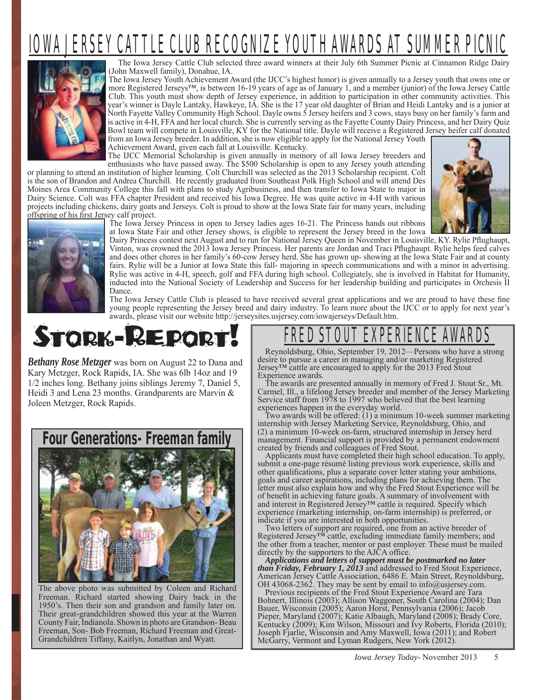# OWA JERSEY CATTLE CLUB RECOGNIZE YOUTH AWARDS AT SUMMER PIC



The Iowa Jersey Cattle Club selected three award winners at their July 6th Summer Picnic at Cinnamon Ridge Dairy (John Maxwell family), Donahue, IA.

The Iowa Jersey Youth Achievement Award (the IJCC's highest honor) is given annually to a Jersey youth that owns one or more Registered Jerseys™, is between 16-19 years of age as of January 1, and a member (junior) of the Iowa Jersey Cattle Club. This youth must show depth of Jersey experience, in addition to participation in other community activities. This year's winner is Dayle Lantzky, Hawkeye, IA. She is the 17 year old daughter of Brian and Heidi Lantzky and is a junior at North Fayette Valley Community High School. Dayle owns 5 Jersey heifers and 3 cows, stays busy on her family's farm and is active in 4-H, FFA and her local church. She is currently serving as the Fayette County Dairy Princess, and her Dairy Quiz Bowl team will compete in Louisville, KY for the National title. Dayle will receive a Registered Jersey heifer calf donated from an Iowa Jersey breeder. In addition, she is now eligible to apply for the National Jersey Youth Achievement Award, given each fall at Louisville. Kentucky.

The IJCC Memorial Scholarship is given annually in memory of all Iowa Jersey breeders and

enthusiasts who have passed away. The \$500 Scholarship is open to any Jersey youth attending or planning to attend an institution of higher learning. Colt Churchill was selected as the 2013 Scholarship recipient. Colt is the son of Brandon and Andrea Churchill. He recently graduated from Southeast Polk High School and will attend Des Moines Area Community College this fall with plans to study Agribusiness, and then transfer to Iowa State to major in Dairy Science. Colt was FFA chapter President and received his Iowa Degree. He was quite active in 4-H with various projects including chickens, dairy goats and Jerseys. Colt is proud to show at the Iowa State fair for many years, including offspring of his first Jersey calf project.



The Iowa Jersey Princess in open to Jersey ladies ages 16-21. The Princess hands out ribbons at Iowa State Fair and other Jersey shows, is eligible to represent the Jersey breed in the Iowa

Dairy Princess contest next August and to run for National Jersey Queen in November in Louisville, KY. Rylie Pflughaupt, Vinton, was crowned the 2013 Iowa Jersey Princess. Her parents are Jordan and Traci Pflughaupt. Rylie helps feed calves and does other chores in her family's 60-cow Jersey herd. She has grown up- showing at the Iowa State Fair and at county fairs. Rylie will be a Junior at Iowa State this fall- majoring in speech communications and with a minor in advertising. Rylie was active in 4-H, speech, golf and FFA during high school. Collegiately, she is involved in Habitat for Humanity, inducted into the National Society of Leadership and Success for her leadership building and participates in Orchesis II Dance.

The Iowa Jersey Cattle Club is pleased to have received several great applications and we are proud to have these fine young people representing the Jersey breed and dairy industry. To learn more about the IJCC or to apply for next year's awards, please visit our website http://jerseysites.usjersey.com/iowajerseys/Default.htm.



*Bethany Rose Metzger* was born on August 22 to Dana and Kary Metzger, Rock Rapids, IA. She was 6lb 14oz and 19 1/2 inches long. Bethany joins siblings Jeremy 7, Daniel 5, Heidi 3 and Lena 23 months. Grandparents are Marvin & Joleen Metzger, Rock Rapids.



The above photo was submitted by Coleen and Richard Freeman. Richard started showing Dairy back in the 1950's. Then their son and grandson and family later on. Their great-grandchildren showed this year at the Warren County Fair, Indianola. Shown in photo are Grandson- Beau Freeman, Son- Bob Freeman, Richard Freeman and Great-Grandchildren Tiffany, Kaitlyn, Jonathan and Wyatt.

# T EXPERIENCE AW

Reynoldsburg, Ohio, September 19, 2012—Persons who have a strong desire to pursue a career in managing and/or marketing Registered Jersey™ cattle are encouraged to apply for the 2013 Fred Stout Experience awards.

The awards are presented annually in memory of Fred J. Stout Sr., Mt. Carmel, Ill., a lifelong Jersey breeder and member of the Jersey Marketing Service staff from 1978 to 1997 who believed that the best learning experiences happen in the everyday world.

Two awards will be offered: (1) a minimum 10-week summer marketing internship with Jersey Marketing Service, Reynoldsburg, Ohio, and (2) a minimum 10-week on-farm, structured internship in Jersey herd management. Financial support is provided by a permanent endowment created by friends and colleagues of Fred Stout.

Applicants must have completed their high school education. To apply, submit a one-page résumé listing previous work experience, skills and other qualifications, plus a separate cover letter stating your ambitions, goals and career aspirations, including plans for achieving them. The letter must also explain how and why the Fred Stout Experience will be of benefit in achieving future goals. A summary of involvement with and interest in Registered Jersey™ cattle is required. Specify which experience (marketing internship, on-farm internship) is preferred, or indicate if you are interested in both opportunities.

Two letters of support are required, one from an active breeder of Registered Jersey<sup>TM</sup> cattle, excluding immediate family members; and the other from a teacher, mentor or past employer. These must be mailed directly by the supporters to the AJCA office.

*Applications and letters of support must be postmarked no later than Friday, February 1, 2013* and addressed to Fred Stout Experience, American Jersey Cattle Association, 6486 E. Main Street, Reynoldsburg, OH 43068-2362. They may be sent by email to info@usjersey.com.

Previous recipients of the Fred Stout Experience Award are Tara Bohnert, Illinois (2003); Allison Waggoner, South Carolina (2004); Dan Bauer, Wisconsin (2005); Aaron Horst, Pennsylvania (2006); Jacob Pieper, Maryland (2007); Katie Albaugh, Maryland (2008); Brady Core, Kentucky (2009); Kim Wilson, Missouri and Ivy Roberts, Florida (2010); Joseph Fjarlie, Wisconsin and Amy Maxwell, Iowa (2011); and Robert McGarry, Vermont and Lyman Rudgers, New York (2012).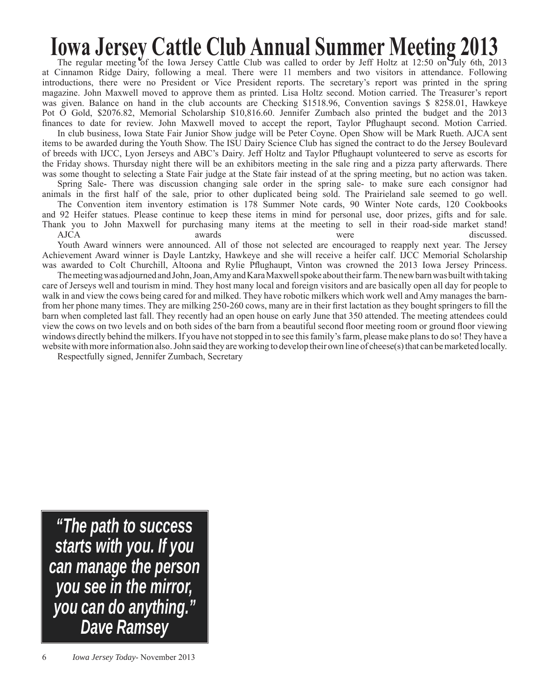# **Iowa Jersey Cattle Club Annual Summer Meeting 2013**

The regular meeting of the Iowa Jersey Cattle Club was called to order by Jeff Holtz at 12:50 on July 6th, 2013 at Cinnamon Ridge Dairy, following a meal. There were 11 members and two visitors in attendance. Following introductions, there were no President or Vice President reports. The secretary's report was printed in the spring magazine. John Maxwell moved to approve them as printed. Lisa Holtz second. Motion carried. The Treasurer's report was given. Balance on hand in the club accounts are Checking \$1518.96, Convention savings \$ 8258.01, Hawkeye Pot O Gold, \$2076.82, Memorial Scholarship \$10,816.60. Jennifer Zumbach also printed the budget and the 2013 finances to date for review. John Maxwell moved to accept the report, Taylor Pflughaupt second. Motion Carried.

In club business, Iowa State Fair Junior Show judge will be Peter Coyne. Open Show will be Mark Rueth. AJCA sent items to be awarded during the Youth Show. The ISU Dairy Science Club has signed the contract to do the Jersey Boulevard of breeds with IJCC, Lyon Jerseys and ABC's Dairy. Jeff Holtz and Taylor Pfl ughaupt volunteered to serve as escorts for the Friday shows. Thursday night there will be an exhibitors meeting in the sale ring and a pizza party afterwards. There was some thought to selecting a State Fair judge at the State fair instead of at the spring meeting, but no action was taken.

Spring Sale- There was discussion changing sale order in the spring sale- to make sure each consignor had animals in the first half of the sale, prior to other duplicated being sold. The Prairieland sale seemed to go well.

The Convention item inventory estimation is 178 Summer Note cards, 90 Winter Note cards, 120 Cookbooks and 92 Heifer statues. Please continue to keep these items in mind for personal use, door prizes, gifts and for sale. Thank you to John Maxwell for purchasing many items at the meeting to sell in their road-side market stand!

AJCA awards were discussed. Youth Award winners were announced. All of those not selected are encouraged to reapply next year. The Jersey Achievement Award winner is Dayle Lantzky, Hawkeye and she will receive a heifer calf. IJCC Memorial Scholarship was awarded to Colt Churchill, Altoona and Rylie Pflughaupt, Vinton was crowned the 2013 Iowa Jersey Princess.

The meeting was adjourned and John, Joan, Amy and Kara Maxwell spoke about their farm. The new barn was built with taking care of Jerseys well and tourism in mind. They host many local and foreign visitors and are basically open all day for people to walk in and view the cows being cared for and milked. They have robotic milkers which work well and Amy manages the barnfrom her phone many times. They are milking 250-260 cows, many are in their first lactation as they bought springers to fill the barn when completed last fall. They recently had an open house on early June that 350 attended. The meeting attendees could view the cows on two levels and on both sides of the barn from a beautiful second floor meeting room or ground floor viewing windows directly behind the milkers. If you have not stopped in to see this family's farm, please make plans to do so! They have a website with more information also. John said they are working to develop their own line of cheese(s) that can be marketed locally.

Respectfully signed, Jennifer Zumbach, Secretary

*"The path to success starts with you. If you can manage the person you see in the mirror, you can do anything." Dave Ramsey*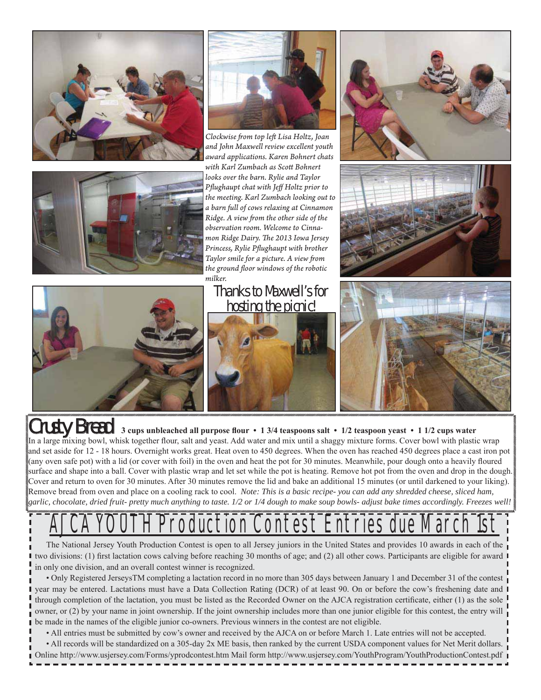



*Clockwise fr om top left Lisa Holtz, Joan and John Maxwell review excellent youth award applications. Karen Bohnert chats with Karl Zumbach as Scott Bohnert looks over the barn. Rylie and Taylor Pfl ughaupt chat with Jeff Holtz prior to the meeting. Karl Zumbach looking out to a barn full of cows relaxing at Cinnamon Ridge. A view from the other side of the observation room. Welcome to Cinnamon Ridge Dairy. The 2013 Iowa Jersey* **Princess, Rylie Pflughaupt with brother** *Taylor smile for a picture. A view from the ground fl oor windows of the robotic milker.* 

## Thanks to Maxwell's for hosting the picnic!











Crusty Bread 3 cups unbleached all purpose flour • 1 3/4 teaspoons salt • 1/2 teaspoon yeast • 1 1/2 cups water In a large mixing bowl, whisk together flour, salt and yeast. Add water and mix until a shaggy mixture forms. Cover bowl with plastic wrap and set aside for 12 - 18 hours. Overnight works great. Heat oven to 450 degrees. When the oven has reached 450 degrees place a cast iron pot (any oven safe pot) with a lid (or cover with foil) in the oven and heat the pot for 30 minutes. Meanwhile, pour dough onto a heavily floured surface and shape into a ball. Cover with plastic wrap and let set while the pot is heating. Remove hot pot from the oven and drop in the dough. Cover and return to oven for 30 minutes. After 30 minutes remove the lid and bake an additional 15 minutes (or until darkened to your liking). Remove bread from oven and place on a cooling rack to cool. *Note: This is a basic recipe- you can add any shredded cheese, sliced ham, garlic, chocolate, dried fruit- pretty much anything to taste. 1/2 or 1/4 dough to make soup bowls- adjust bake times accordingly. Freezes well!*

# **Contest Entries due March 2018**

The National Jersey Youth Production Contest is open to all Jersey juniors in the United States and provides 10 awards in each of the two divisions: (1) first lactation cows calving before reaching 30 months of age; and (2) all other cows. Participants are eligible for award  $\blacksquare$ in only one division, and an overall contest winner is recognized.

• Only Registered JerseysTM completing a lactation record in no more than 305 days between January 1 and December 31 of the contest year may be entered. Lactations must have a Data Collection Rating (DCR) of at least 90. On or before the cow's freshening date and  $\blacksquare$ through completion of the lactation, you must be listed as the Recorded Owner on the AJCA registration certificate, either (1) as the sole owner, or (2) by your name in joint ownership. If the joint ownership includes more than one junior eligible for this contest, the entry will be made in the names of the eligible junior co-owners. Previous winners in the contest are not eligible.

• All entries must be submitted by cow's owner and received by the AJCA on or before March 1. Late entries will not be accepted.

*Iowa Jersey Today*- November 2013 7 Online http://www.usjersey.com/Forms/yprodcontest.htm Mail form http://www.usjersey.com/YouthProgram/YouthProductionContest.pdf • All records will be standardized on a 305-day 2x ME basis, then ranked by the current USDA component values for Net Merit dollars.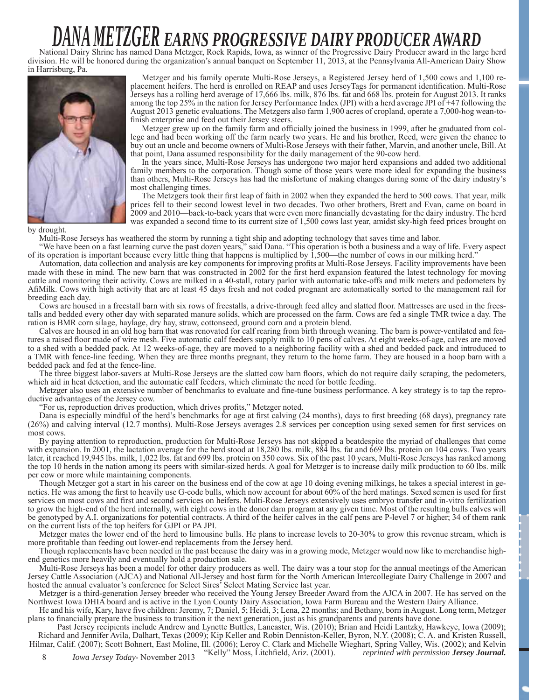# *DANA METZGER EARNS PROGRESSIVE DAIRY PRODUCER AWARD*

National Dairy Shrine has named Dana Metzger, Rock Rapids, Iowa, as winner of the Progressive Dairy Producer award in the large herd division. He will be honored during the organization's annual banquet on September 11, 2013, at the Pennsylvania All-American Dairy Show in Harrisburg, Pa.



Metzger and his family operate Multi-Rose Jerseys, a Registered Jersey herd of 1,500 cows and 1,100 replacement heifers. The herd is enrolled on REAP and uses JerseyTags for permanent identification. Multi-Rose Jerseys has a rolling herd average of 17,666 lbs. milk, 876 lbs. fat and 668 lbs. protein for August 2013. It ranks among the top 25% in the nation for Jersey Performance Index (JPI) with a herd average JPI of +47 following the August 2013 genetic evaluations. The Metzgers also farm 1,900 acres of cropland, operate a 7,000-hog wean-tofinish enterprise and feed out their Jersey steers.

Metzger grew up on the family farm and officially joined the business in 1999, after he graduated from college and had been working off the farm nearly two years. He and his brother, Reed, were given the chance to buy out an uncle and become owners of Multi-Rose Jerseys with their father, Marvin, and another uncle, Bill. At that point, Dana assumed responsibility for the daily management of the 90-cow herd.

In the years since, Multi-Rose Jerseys has undergone two major herd expansions and added two additional family members to the corporation. Though some of those years were more ideal for expanding the business than others, Multi-Rose Jerseys has had the misfortune of making changes during some of the dairy industry's most challenging times.

The Metzgers took their first leap of faith in 2002 when they expanded the herd to 500 cows. That year, milk prices fell to their second lowest level in two decades. Two other brothers, Brett and Evan, came on board in 2009 and 2010—back-to-back years that were even more financially devastating for the dairy industry. The herd was expanded a second time to its current size of 1,500 cows last year, amidst sky-high feed prices brought on

by drought.

Multi-Rose Jerseys has weathered the storm by running a tight ship and adopting technology that saves time and labor.

"We have been on a fast learning curve the past dozen years," said Dana. "This operation is both a business and a way of life. Every aspect of its operation is important because every little thing that happens is multiplied by 1,500—the number of cows in our milking herd."

Automation, data collection and analysis are key components for improving profits at Multi-Rose Jerseys. Facility improvements have been made with these in mind. The new barn that was constructed in 2002 for the first herd expansion featured the latest technology for moving cattle and monitoring their activity. Cows are milked in a 40-stall, rotary parlor with automatic take-offs and milk meters and pedometers by Afi Milk. Cows with high activity that are at least 45 days fresh and not coded pregnant are automatically sorted to the management rail for breeding each day.

Cows are housed in a freestall barn with six rows of freestalls, a drive-through feed alley and slatted floor. Mattresses are used in the freestalls and bedded every other day with separated manure solids, which are processed on the farm. Cows are fed a single TMR twice a day. The ration is BMR corn silage, haylage, dry hay, straw, cottonseed, ground corn and a protein blend.

Calves are housed in an old hog barn that was renovated for calf rearing from birth through weaning. The barn is power-ventilated and features a raised floor made of wire mesh. Five automatic calf feeders supply milk to 10 pens of calves. At eight weeks-of-age, calves are moved to a shed with a bedded pack. At 12 weeks-of-age, they are moved to a neighboring facility with a shed and bedded pack and introduced to a TMR with fence-line feeding. When they are three months pregnant, they return to the home farm. They are housed in a hoop barn with a bedded pack and fed at the fence-line.

The three biggest labor-savers at Multi-Rose Jerseys are the slatted cow barn floors, which do not require daily scraping, the pedometers, which aid in heat detection, and the automatic calf feeders, which eliminate the need for bottle feeding.

Metzger also uses an extensive number of benchmarks to evaluate and fine-tune business performance. A key strategy is to tap the reproductive advantages of the Jersey cow.

"For us, reproduction drives production, which drives profits," Metzger noted.

Dana is especially mindful of the herd's benchmarks for age at first calving (24 months), days to first breeding (68 days), pregnancy rate  $(26%)$  and calving interval  $(12.7 \text{ months})$ . Multi-Rose Jerseys averages 2.8 services per conception using sexed semen for first services on most cows.

By paying attention to reproduction, production for Multi-Rose Jerseys has not skipped a beatdespite the myriad of challenges that come with expansion. In 2001, the lactation average for the herd stood at 18,280 lbs. milk, 884 lbs. fat and 669 lbs. protein on 104 cows. Two years later, it reached 19,945 lbs. milk, 1,022 lbs. fat and 699 lbs. protein on 350 cows. Six of the past 10 years, Multi-Rose Jerseys has ranked among the top 10 herds in the nation among its peers with similar-sized herds. A goal for Metzger is to increase daily milk production to 60 lbs. milk per cow or more while maintaining components.

Though Metzger got a start in his career on the business end of the cow at age 10 doing evening milkings, he takes a special interest in genetics. He was among the first to heavily use G-code bulls, which now account for about 60% of the herd matings. Sexed semen is used for first services on most cows and first and second services on heifers. Multi-Rose Jerseys extensively uses embryo transfer and in-vitro fertilization to grow the high-end of the herd internally, with eight cows in the donor dam program at any given time. Most of the resulting bulls calves will be genotyped by A.I. organizations for potential contracts. A third of the heifer calves in the calf pens are P-level 7 or higher; 34 of them rank on the current lists of the top heifers for GJPI or PA JPI.

Metzger mates the lower end of the herd to limousine bulls. He plans to increase levels to 20-30% to grow this revenue stream, which is more profitable than feeding out lower-end replacements from the Jersey herd.

Though replacements have been needed in the past because the dairy was in a growing mode, Metzger would now like to merchandise highend genetics more heavily and eventually hold a production sale.

Multi-Rose Jerseys has been a model for other dairy producers as well. The dairy was a tour stop for the annual meetings of the American Jersey Cattle Association (AJCA) and National All-Jersey and host farm for the North American Intercollegiate Dairy Challenge in 2007 and hosted the annual evaluator's conference for Select Sires' Select Mating Service last year.

Metzger is a third-generation Jersey breeder who received the Young Jersey Breeder Award from the AJCA in 2007. He has served on the Northwest Iowa DHIA board and is active in the Lyon County Dairy Association, Iowa Farm Bureau and the Western Dairy Alliance.

He and his wife, Kary, have five children: Jeremy, 7; Daniel, 5; Heidi, 3; Lena, 22 months; and Bethany, born in August. Long term, Metzger plans to financially prepare the business to transition it the next generation, just as his grandparents and parents have done.

Past Jersey recipients include Andrew and Lynette Buttles, Lancaster, Wis. (2010); Brian and Heidi Lantzky, Hawkeye, Iowa (2009); Richard and Jennifer Avila, Dalhart, Texas (2009); Kip Keller and Robin Denniston-Keller, Byron, N.Y. (2008); C. A. and Kristen Russell,

Hilmar, Calif. (2007); Scott Bohnert, East Moline, Ill. (2006); Leroy C. Clark and Michelle Wieghart, Spring Valley, Wis. (2002); and Kelvin<br>Kelly'' Moss, Litchfield, Ariz. (2001). *reprinted with permission Jersey Journal*  $Reprinted with permission Jersey Journal.$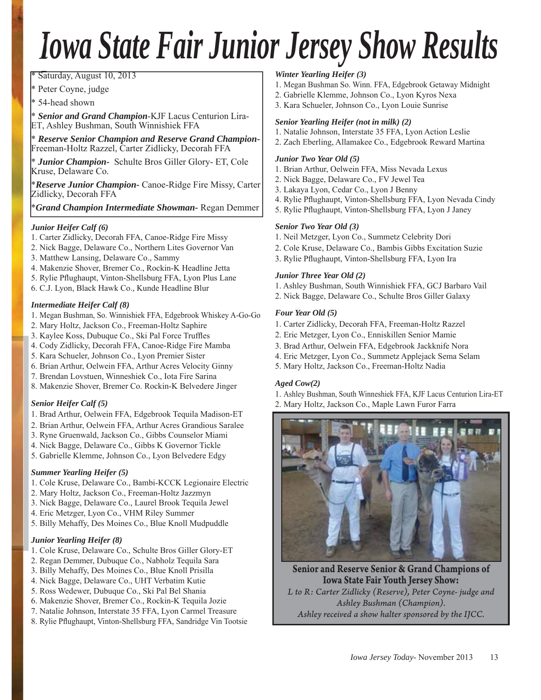# *Iowa State Fair Junior Jersey Show Results*

\* Saturday, August 10, 2013 Sa \* S \*

\* Peter Coyne, judge Pe \* P

\* 54-head shown 54 \* 5

\* *Senior and Grand Champion*-KJF Lacus Centurion Lira-*Se S* ET, Ashley Bushman, South Winnishiek FFA

\* *Reserve Senior Champion and Reserve Grand Champion-Re R* Freeman-Holtz Razzel, Carter Zidlicky, Decorah FFA F

\* *Junior Champion-* Schulte Bros Giller Glory- ET, Cole Kruse, Delaware Co. K

\**Reserve Junior Champion-* Canoe-Ridge Fire Missy, Carter Zidlicky, Decorah FFA Z

\**Grand Champion Intermediate Showman-* Regan Demmer

#### *Junior Heifer Calf (6)*

- 1. Carter Zidlicky, Decorah FFA, Canoe-Ridge Fire Missy
- 2. Nick Bagge, Delaware Co., Northern Lites Governor Van
- 3. Matthew Lansing, Delaware Co., Sammy
- 4. Makenzie Shover, Bremer Co., Rockin-K Headline Jetta
- 5. Rylie Pflughaupt, Vinton-Shellsburg FFA, Lyon Plus Lane
- 6. C.J. Lyon, Black Hawk Co., Kunde Headline Blur

#### *Intermediate Heifer Calf (8)*

- 1. Megan Bushman, So. Winnishiek FFA, Edgebrook Whiskey A-Go-Go
- 2. Mary Holtz, Jackson Co., Freeman-Holtz Saphire
- 3. Kaylee Koss, Dubuque Co., Ski Pal Force Truffles
- 4. Cody Zidlicky, Decorah FFA, Canoe-Ridge Fire Mamba
- 5. Kara Schueler, Johnson Co., Lyon Premier Sister
- 6. Brian Arthur, Oelwein FFA, Arthur Acres Velocity Ginny
- 7. Brendan Lovstuen, Winneshiek Co., Iota Fire Sarina
- 8. Makenzie Shover, Bremer Co. Rockin-K Belvedere Jinger

#### *Senior Heifer Calf (5)*

- 1. Brad Arthur, Oelwein FFA, Edgebrook Tequila Madison-ET
- 2. Brian Arthur, Oelwein FFA, Arthur Acres Grandious Saralee
- 3. Ryne Gruenwald, Jackson Co., Gibbs Counselor Miami
- 4. Nick Bagge, Delaware Co., Gibbs K Governor Tickle
- 5. Gabrielle Klemme, Johnson Co., Lyon Belvedere Edgy

#### *Summer Yearling Heifer (5)*

- 1. Cole Kruse, Delaware Co., Bambi-KCCK Legionaire Electric
- 2. Mary Holtz, Jackson Co., Freeman-Holtz Jazzmyn
- 3. Nick Bagge, Delaware Co., Laurel Brook Tequila Jewel
- 4. Eric Metzger, Lyon Co., VHM Riley Summer
- 5. Billy Mehaffy, Des Moines Co., Blue Knoll Mudpuddle

#### *Junior Yearling Heifer (8)*

- 1. Cole Kruse, Delaware Co., Schulte Bros Giller Glory-ET
- 2. Regan Demmer, Dubuque Co., Nabholz Tequila Sara
- 3. Billy Mehaffy, Des Moines Co., Blue Knoll Prisilla
- 4. Nick Bagge, Delaware Co., UHT Verbatim Kutie
- 5. Ross Wedewer, Dubuque Co., Ski Pal Bel Shania
- 6. Makenzie Shover, Bremer Co., Rockin-K Tequila Jozie
- 7. Natalie Johnson, Interstate 35 FFA, Lyon Carmel Treasure
- 8. Rylie Pflughaupt, Vinton-Shellsburg FFA, Sandridge Vin Tootsie

#### *Winter Yearling Heifer (3)*

- 1. Megan Bushman So. Winn. FFA, Edgebrook Getaway Midnight
- 2. Gabrielle Klemme, Johnson Co., Lyon Kyros Nexa
- 3. Kara Schueler, Johnson Co., Lyon Louie Sunrise

#### *Senior Yearling Heifer (not in milk) (2)*

- 1. Natalie Johnson, Interstate 35 FFA, Lyon Action Leslie
- 2. Zach Eberling, Allamakee Co., Edgebrook Reward Martina

#### *Junior Two Year Old (5)*

- 1. Brian Arthur, Oelwein FFA, Miss Nevada Lexus
- 2. Nick Bagge, Delaware Co., FV Jewel Tea
- 3. Lakaya Lyon, Cedar Co., Lyon J Benny
- 4. Rylie Pflughaupt, Vinton-Shellsburg FFA, Lyon Nevada Cindy
- 5. Rylie Pflughaupt, Vinton-Shellsburg FFA, Lyon J Janey

#### *Senior Two Year Old (3)*

- 1. Neil Metzger, Lyon Co., Summetz Celebrity Dori
- 2. Cole Kruse, Delaware Co., Bambis Gibbs Excitation Suzie
- 3. Rylie Pflughaupt, Vinton-Shellsburg FFA, Lyon Ira

#### *Junior Three Year Old (2)*

- 1. Ashley Bushman, South Winnishiek FFA, GCJ Barbaro Vail
- 2. Nick Bagge, Delaware Co., Schulte Bros Giller Galaxy

#### *Four Year Old (5)*

- 1. Carter Zidlicky, Decorah FFA, Freeman-Holtz Razzel
- 2. Eric Metzger, Lyon Co., Enniskillen Senior Mamie
- 3. Brad Arthur, Oelwein FFA, Edgebrook Jackknife Nora
- 4. Eric Metzger, Lyon Co., Summetz Applejack Sema Selam
- 5. Mary Holtz, Jackson Co., Freeman-Holtz Nadia

#### *Aged Cow(2)*

- 1. Ashley Bushman, South Winneshiek FFA, KJF Lacus Centurion Lira-ET
- 2. Mary Holtz, Jackson Co., Maple Lawn Furor Farra



**Senior and Reserve Senior & Grand Champions of**  L to R: Carter Zidlicky (Reserve), Peter Coyne- judge and *Ashley Bushman (Champion). Ashley received a show halter sponsored by the IJCC.*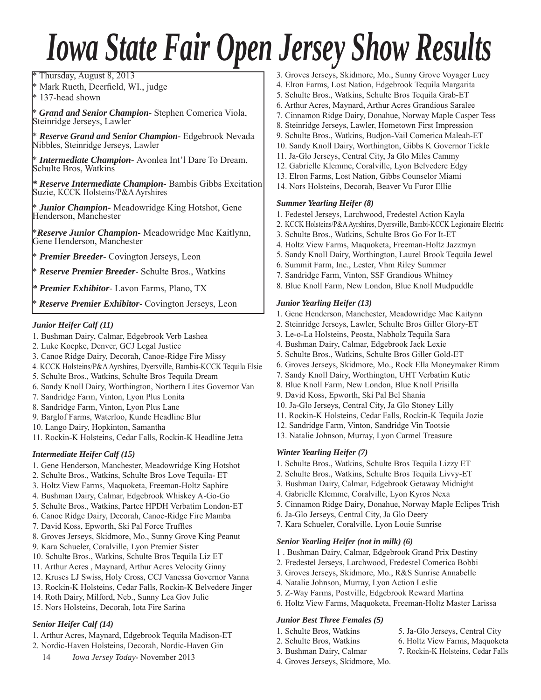# *Iowa State Fair Open Jersey Show Results*

Thursday, August 8, 2013

\* Mark Rueth, Deerfield, WI., judge

\* 137-head shown

\* *Grand and Senior Champion*- Stephen Comerica Viola, Steinridge Jerseys, Lawler

\* *Reserve Grand and Senior Champion-* Edgebrook Nevada Nibbles, Steinridge Jerseys, Lawler

\* *Intermediate Champion-* Avonlea Int'l Dare To Dream, Schulte Bros, Watkins

*\* Reserve Intermediate Champion-* Bambis Gibbs Excitation Suzie, KCCK Holsteins/P&A Ayrshires

\* *Junior Champion-* Meadowridge King Hotshot, Gene Henderson, Manchester

\**Reserve Junior Champion-* Meadowridge Mac Kaitlynn, Gene Henderson, Manchester

\* *Premier Breeder*- Covington Jerseys, Leon

\* *Reserve Premier Breeder*- Schulte Bros., Watkins

*\* Premier Exhibitor*- Lavon Farms, Plano, TX

\* *Reserve Premier Exhibitor*- Covington Jerseys, Leon

#### *Junior Heifer Calf (11)*

- 1. Bushman Dairy, Calmar, Edgebrook Verb Lashea
- 2. Luke Koepke, Denver, GCJ Legal Justice
- 3. Canoe Ridge Dairy, Decorah, Canoe-Ridge Fire Missy
- 4. KCCK Holsteins/P&A Ayrshires, Dyersville, Bambis-KCCK Tequila Elsie
- 5. Schulte Bros., Watkins, Schulte Bros Tequila Dream
- 6. Sandy Knoll Dairy, Worthington, Northern Lites Governor Van
- 7. Sandridge Farm, Vinton, Lyon Plus Lonita
- 8. Sandridge Farm, Vinton, Lyon Plus Lane
- 9. Barglof Farms, Waterloo, Kunde Headline Blur
- 10. Lango Dairy, Hopkinton, Samantha
- 11. Rockin-K Holsteins, Cedar Falls, Rockin-K Headline Jetta

#### *Intermediate Heifer Calf (15)*

- 1. Gene Henderson, Manchester, Meadowridge King Hotshot
- 2. Schulte Bros., Watkins, Schulte Bros Love Tequila- ET
- 3. Holtz View Farms, Maquoketa, Freeman-Holtz Saphire
- 4. Bushman Dairy, Calmar, Edgebrook Whiskey A-Go-Go
- 5. Schulte Bros., Watkins, Partee HPDH Verbatim London-ET
- 6. Canoe Ridge Dairy, Decorah, Canoe-Ridge Fire Mamba
- 7. David Koss, Epworth, Ski Pal Force Truffles
- 8. Groves Jerseys, Skidmore, Mo., Sunny Grove King Peanut
- 9. Kara Schueler, Coralville, Lyon Premier Sister
- 10. Schulte Bros., Watkins, Schulte Bros Tequila Liz ET
- 11. Arthur Acres , Maynard, Arthur Acres Velocity Ginny
- 12. Kruses LJ Swiss, Holy Cross, CCJ Vanessa Governor Vanna
- 13. Rockin-K Holsteins, Cedar Falls, Rockin-K Belvedere Jinger
- 14. Roth Dairy, Milford, Neb., Sunny Lea Gov Julie
- 15. Nors Holsteins, Decorah, Iota Fire Sarina

#### *Senior Heifer Calf (14)*

- 1. Arthur Acres, Maynard, Edgebrook Tequila Madison-ET
- 2. Nordic-Haven Holsteins, Decorah, Nordic-Haven Gin
	- 14 *Iowa Jersey Today* November 2013
- 3. Groves Jerseys, Skidmore, Mo., Sunny Grove Voyager Lucy
- 4. Elron Farms, Lost Nation, Edgebrook Tequila Margarita
- 5. Schulte Bros., Watkins, Schulte Bros Tequila Grab-ET
- 6. Arthur Acres, Maynard, Arthur Acres Grandious Saralee
- 7. Cinnamon Ridge Dairy, Donahue, Norway Maple Casper Tess
- 8. Steinridge Jerseys, Lawler, Hometown First Impression
- 9. Schulte Bros., Watkins, Budjon-Vail Comerica Maleah-ET
- 10. Sandy Knoll Dairy, Worthington, Gibbs K Governor Tickle
- 11. Ja-Glo Jerseys, Central City, Ja Glo Miles Cammy
- 12. Gabrielle Klemme, Coralville, Lyon Belvedere Edgy
- 13. Elron Farms, Lost Nation, Gibbs Counselor Miami
- 14. Nors Holsteins, Decorah, Beaver Vu Furor Ellie

#### *Summer Yearling Heifer (8)*

- 1. Fedestel Jerseys, Larchwood, Fredestel Action Kayla
- 2. KCCK Holsteins/P&A Ayrshires, Dyersville, Bambi-KCCK Legionaire Electric
- 3. Schulte Bros., Watkins, Schulte Bros Go For It-ET
- 4. Holtz View Farms, Maquoketa, Freeman-Holtz Jazzmyn
- 5. Sandy Knoll Dairy, Worthington, Laurel Brook Tequila Jewel
- 6. Summit Farm, Inc., Lester, Vhm Riley Summer
- 7. Sandridge Farm, Vinton, SSF Grandious Whitney
- 8. Blue Knoll Farm, New London, Blue Knoll Mudpuddle

#### *Junior Yearling Heifer (13)*

- 1. Gene Henderson, Manchester, Meadowridge Mac Kaitynn
- 2. Steinridge Jerseys, Lawler, Schulte Bros Giller Glory-ET
- 3. Le-o-La Holsteins, Peosta, Nabholz Tequila Sara
- 4. Bushman Dairy, Calmar, Edgebrook Jack Lexie
- 5. Schulte Bros., Watkins, Schulte Bros Giller Gold-ET
- 6. Groves Jerseys, Skidmore, Mo., Rock Ella Moneymaker Rimm
- 7. Sandy Knoll Dairy, Worthington, UHT Verbatim Kutie
- 8. Blue Knoll Farm, New London, Blue Knoll Prisilla
- 9. David Koss, Epworth, Ski Pal Bel Shania
- 10. Ja-Glo Jerseys, Central City, Ja Glo Stoney Lilly
- 11. Rockin-K Holsteins, Cedar Falls, Rockin-K Tequila Jozie
- 12. Sandridge Farm, Vinton, Sandridge Vin Tootsie
- 13. Natalie Johnson, Murray, Lyon Carmel Treasure

#### *Winter Yearling Heifer (7)*

- 1. Schulte Bros., Watkins, Schulte Bros Tequila Lizzy ET
- 2. Schulte Bros., Watkins, Schulte Bros Tequila Livvy-ET
- 3. Bushman Dairy, Calmar, Edgebrook Getaway Midnight
- 4. Gabrielle Klemme, Coralville, Lyon Kyros Nexa
- 5. Cinnamon Ridge Dairy, Donahue, Norway Maple Eclipes Trish
- 6. Ja-Glo Jerseys, Central City, Ja Glo Deery
- 7. Kara Schueler, Coralville, Lyon Louie Sunrise

#### *Senior Yearling Heifer (not in milk) (6)*

- 1 . Bushman Dairy, Calmar, Edgebrook Grand Prix Destiny
- 2. Fredestel Jerseys, Larchwood, Fredestel Comerica Bobbi
- 3. Groves Jerseys, Skidmore, Mo., R&S Sunrise Annabelle
- 4. Natalie Johnson, Murray, Lyon Action Leslie
- 5. Z-Way Farms, Postville, Edgebrook Reward Martina
- 6. Holtz View Farms, Maquoketa, Freeman-Holtz Master Larissa

#### *Junior Best Three Females (5)*

4. Groves Jerseys, Skidmore, Mo.

- 1. Schulte Bros, Watkins 5. Ja-Glo Jerseys, Central City
- 2. Schulte Bros, Watkins 6. Holtz View Farms, Maquoketa 3. Bushman Dairy, Calmar 7. Rockin-K Holsteins, Cedar Falls
-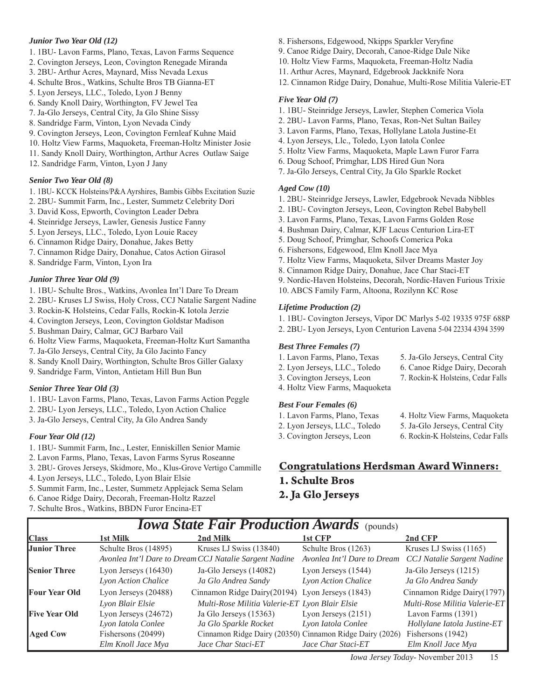#### *Junior Two Year Old (12)*

- 1. 1BU- Lavon Farms, Plano, Texas, Lavon Farms Sequence
- 2. Covington Jerseys, Leon, Covington Renegade Miranda
- 3. 2BU- Arthur Acres, Maynard, Miss Nevada Lexus
- 4. Schulte Bros., Watkins, Schulte Bros TB Gianna-ET
- 5. Lyon Jerseys, LLC., Toledo, Lyon J Benny
- 6. Sandy Knoll Dairy, Worthington, FV Jewel Tea
- 7. Ja-Glo Jerseys, Central City, Ja Glo Shine Sissy
- 8. Sandridge Farm, Vinton, Lyon Nevada Cindy
- 9. Covington Jerseys, Leon, Covington Fernleaf Kuhne Maid
- 10. Holtz View Farms, Maquoketa, Freeman-Holtz Minister Josie
- 11. Sandy Knoll Dairy, Worthington, Arthur Acres Outlaw Saige
- 12. Sandridge Farm, Vinton, Lyon J Jany

#### *Senior Two Year Old (8)*

- 1. 1BU- KCCK Holsteins/P&A Ayrshires, Bambis Gibbs Excitation Suzie
- 2. 2BU- Summit Farm, Inc., Lester, Summetz Celebrity Dori
- 3. David Koss, Epworth, Covington Leader Debra
- 4. Steinridge Jerseys, Lawler, Genesis Justice Fanny
- 5. Lyon Jerseys, LLC., Toledo, Lyon Louie Racey
- 6. Cinnamon Ridge Dairy, Donahue, Jakes Betty
- 7. Cinnamon Ridge Dairy, Donahue, Catos Action Girasol
- 8. Sandridge Farm, Vinton, Lyon Ira

#### *Junior Three Year Old (9)*

- 1. 1BU- Schulte Bros., Watkins, Avonlea Int'l Dare To Dream
- 2. 2BU- Kruses LJ Swiss, Holy Cross, CCJ Natalie Sargent Nadine
- 3. Rockin-K Holsteins, Cedar Falls, Rockin-K Iotola Jerzie
- 4. Covington Jerseys, Leon, Covington Goldstar Madison
- 5. Bushman Dairy, Calmar, GCJ Barbaro Vail
- 6. Holtz View Farms, Maquoketa, Freeman-Holtz Kurt Samantha
- 7. Ja-Glo Jerseys, Central City, Ja Glo Jacinto Fancy
- 8. Sandy Knoll Dairy, Worthington, Schulte Bros Giller Galaxy
- 9. Sandridge Farm, Vinton, Antietam Hill Bun Bun

#### *Senior Three Year Old (3)*

- 1. 1BU- Lavon Farms, Plano, Texas, Lavon Farms Action Peggle
- 2. 2BU- Lyon Jerseys, LLC., Toledo, Lyon Action Chalice
- 3. Ja-Glo Jerseys, Central City, Ja Glo Andrea Sandy

#### *Four Year Old (12)*

- 1. 1BU- Summit Farm, Inc., Lester, Enniskillen Senior Mamie
- 2. Lavon Farms, Plano, Texas, Lavon Farms Syrus Roseanne
- 3. 2BU- Groves Jerseys, Skidmore, Mo., Klus-Grove Vertigo Cammille
- 4. Lyon Jerseys, LLC., Toledo, Lyon Blair Elsie
- 5. Summit Farm, Inc., Lester, Summetz Applejack Sema Selam
- 6. Canoe Ridge Dairy, Decorah, Freeman-Holtz Razzel
- 7. Schulte Bros., Watkins, BBDN Furor Encina-ET
- 8. Fishersons, Edgewood, Nkipps Sparkler Veryfine
- 9. Canoe Ridge Dairy, Decorah, Canoe-Ridge Dale Nike
- 10. Holtz View Farms, Maquoketa, Freeman-Holtz Nadia
- 11. Arthur Acres, Maynard, Edgebrook Jackknife Nora
- 12. Cinnamon Ridge Dairy, Donahue, Multi-Rose Militia Valerie-ET

#### *Five Year Old (7)*

- 1. 1BU- Steinridge Jerseys, Lawler, Stephen Comerica Viola
- 2. 2BU- Lavon Farms, Plano, Texas, Ron-Net Sultan Bailey
- 3. Lavon Farms, Plano, Texas, Hollylane Latola Justine-Et
- 4. Lyon Jerseys, Llc., Toledo, Lyon Iatola Conlee
- 5. Holtz View Farms, Maquoketa, Maple Lawn Furor Farra
- 6. Doug Schoof, Primghar, LDS Hired Gun Nora
- 7. Ja-Glo Jerseys, Central City, Ja Glo Sparkle Rocket

#### *Aged Cow (10)*

- 1. 2BU- Steinridge Jerseys, Lawler, Edgebrook Nevada Nibbles
- 2. 1BU- Covington Jerseys, Leon, Covington Rebel Babybell
- 3. Lavon Farms, Plano, Texas, Lavon Farms Golden Rose
- 4. Bushman Dairy, Calmar, KJF Lacus Centurion Lira-ET
- 5. Doug Schoof, Primghar, Schoofs Comerica Poka
- 6. Fishersons, Edgewood, Elm Knoll Jace Mya
- 7. Holtz View Farms, Maquoketa, Silver Dreams Master Joy
- 8. Cinnamon Ridge Dairy, Donahue, Jace Char Staci-ET
- 9. Nordic-Haven Holsteins, Decorah, Nordic-Haven Furious Trixie
- 10. ABCS Family Farm, Altoona, Rozilynn KC Rose

#### *Lifetime Production (2)*

1. 1BU- Covington Jerseys, Vipor DC Marlys 5-02 19335 975F 688P

2. 2BU- Lyon Jerseys, Lyon Centurion Lavena 5-04 22334 4394 3599

#### *Best Three Females (7)*

- 1. Lavon Farms, Plano, Texas 5. Ja-Glo Jerseys, Central City
- 2. Lyon Jerseys, LLC., Toledo 6. Canoe Ridge Dairy, Decorah
- 3. Covington Jerseys, Leon 7. Rockin-K Holsteins, Cedar Falls
- 4. Holtz View Farms, Maquoketa

#### *Best Four Females (6)*

- 
- 2. Lyon Jerseys, LLC., Toledo 5. Ja-Glo Jerseys, Central City
- -
- 3. Covington Jerseys, Leon 6. Rockin-K Holsteins, Cedar Falls

#### **Congratulations Herdsman Award Winners:**

- **1. Schulte Bros**
- **2. Ja Glo Jerseys**

| <b>Class</b>         | 1st Milk                                             | 2nd Milk                                                                          | 1st CFP                                            | 2nd CFP                                              |  |  |  |
|----------------------|------------------------------------------------------|-----------------------------------------------------------------------------------|----------------------------------------------------|------------------------------------------------------|--|--|--|
| Junior Three         | Schulte Bros (14895)                                 | Kruses LJ Swiss (13840)<br>Avonlea Int'l Dare to Dream CCJ Natalie Sargent Nadine | Schulte Bros (1263)<br>Avonlea Int'l Dare to Dream | Kruses LJ Swiss (1165)<br>CCJ Natalie Sargent Nadine |  |  |  |
| <b>Senior Three</b>  | Lyon Jerseys $(16430)$<br><b>Lyon Action Chalice</b> | Ja-Glo Jerseys (14082)<br>Ja Glo Andrea Sandy                                     | Lyon Jerseys (1544)<br><b>Lyon Action Chalice</b>  | Ja-Glo Jerseys (1215)<br>Ja Glo Andrea Sandy         |  |  |  |
| <b>Four Year Old</b> | Lyon Jerseys (20488)                                 | Cinnamon Ridge Dairy (20194) Lyon Jerseys (1843)                                  |                                                    | Cinnamon Ridge Dairy (1797)                          |  |  |  |
|                      | Lyon Blair Elsie                                     | Multi-Rose Militia Valerie-ET Lyon Blair Elsie                                    |                                                    | Multi-Rose Militia Valerie-ET                        |  |  |  |
| <b>Five Year Old</b> | Lyon Jerseys $(24672)$                               | Ja Glo Jerseys (15363)                                                            | Lyon Jerseys $(2151)$                              | Lavon Farms (1391)                                   |  |  |  |
|                      | Lyon Iatola Conlee                                   | Ja Glo Sparkle Rocket                                                             | Lyon Iatola Conlee                                 | Hollylane Iatola Justine-ET                          |  |  |  |
| <b>Aged Cow</b>      | Fishersons (20499)                                   | Cinnamon Ridge Dairy (20350) Cinnamon Ridge Dairy (2026)                          |                                                    | Fishersons (1942)                                    |  |  |  |
|                      | Elm Knoll Jace Mya                                   | Jace Char Staci-ET                                                                | Jace Char Staci-ET                                 | Elm Knoll Jace Mya                                   |  |  |  |

- *Iowa State Fair Production Awards* (pounds)
- 
- 1. Lavon Farms, Plano, Texas 4. Holtz View Farms, Maquoketa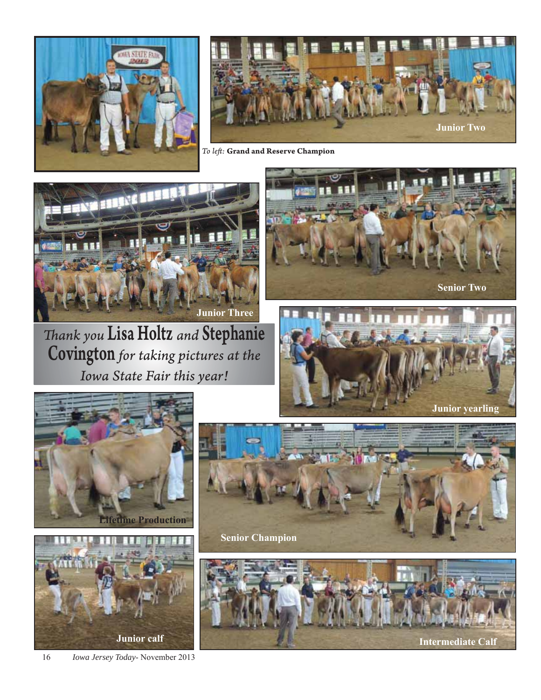



*To left :* **Grand and Reserve Champion**



*Th ank you* Lisa Holtz *and* Stephanie Covington *for taking pictures at the Iowa State Fair this year!*













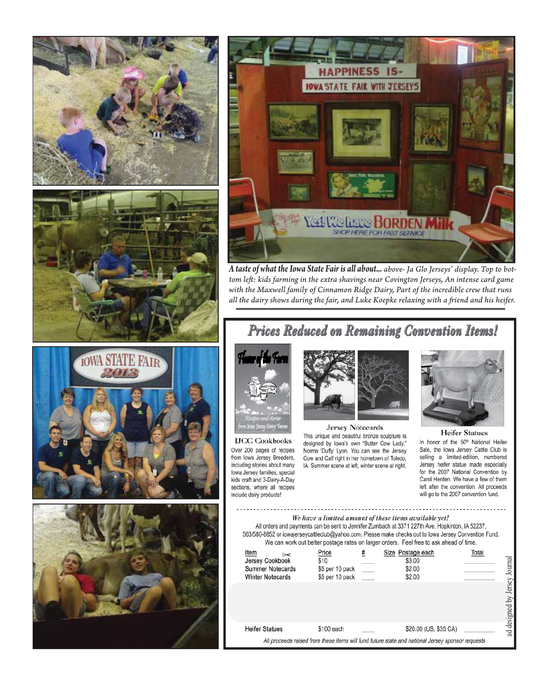



*A taste of what the Iowa State Fair is all about... above- Ja Glo Jerseys' display. Top to bot*tom left: kids farming in the extra shavings near Covington Jerseys, An intense card game *with the Maxwell family of Cinnamon Ridge Dairy, Part of the incredible crew that runs all the dairy shows during the fair, and Luke Koepke relaxing with a fr iend and his heifer.*

## Prices Reduced on Remaining Convention Items!



**IJCC** Cookbooks Over 200 pages of recipes from lowa Jersey Breeders, including stories about many lowa Jersey families, special kids craft and 3-Dairy-A-Day sections, where all recipes include dairy products!



Jersey Notecards This unique and beautiful bronze sculpture is designed by Iowa's own "Butter Cow Lady," Norma 'Duffy' Lyon. You can see the Jersey Cow and Calf right in her hometown of Toledo, IA. Summer scene at left, winter scene at right.



**Heifer Statues** In honor of the 50th National Heifer Sale, the lowa Jersey Cattle Club is selling a limited-edition, numbered Jersey heifer statue made especially for the 2007 National Convention by Carol Herden. We have a few of them left after the convention. All proceeds will go to the 2007 convention fund.

We have a limited amount of these items available yet! All orders and payments can be sent to Jennifer Zumbach at 3371 227th Ave. Hopkinton, IA 52237, 563/580-8852 or iowajerseycattleclub@yahoo.com. Please make checks out to lowa Jersey Convention Fund. We can work out better postage rates on larger orders. Feel free to ask ahead of time. Item Price Size Postage each Total Jersey Cookbook  $\overline{$10}$  $$3.00$ Summer Notecards \$5 per 10 pack \$2.00 **Winter Notecards** \$5 per 10 pack \$2.00

| Jersey Cookbook<br><b>Summer Notecards</b><br><b>Winter Notecards</b> | \$10<br>\$5 per 10 pack<br>\$5 per 10 pack | \$3.00<br>\$2.00<br>\$2.00                                                                       | Journal               |
|-----------------------------------------------------------------------|--------------------------------------------|--------------------------------------------------------------------------------------------------|-----------------------|
|                                                                       |                                            |                                                                                                  | Jersey<br>designed by |
| <b>Heifer Statues</b>                                                 | \$100 each                                 | \$20.00 (US, \$35 CA)                                                                            | $_{\rm ad}$           |
|                                                                       |                                            | All proceeds raised from these items will fund future state and national Jersey sponsor requests |                       |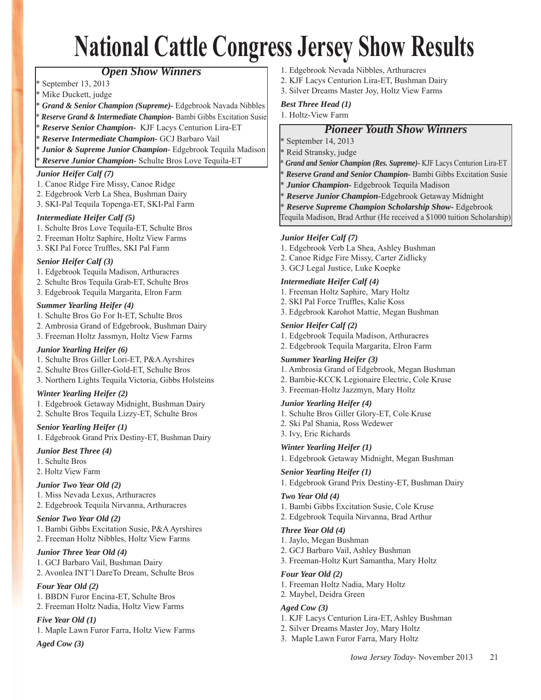# **National Cattle Congress Jersey Show Results**

#### *Open Show Winners*

- September 13, 2013
- Mike Duckett, judge
- \* *Grand & Senior Champion (Supreme)-* Edgebrook Navada Nibbles
- \* *Reserve Grand & Intermediate Champion-* Bambi Gibbs Excitation Susie
- \* *Reserve Senior Champion-* KJF Lacys Centurion Lira-ET
- \* *Reserve Intermediate Champion-* GCJ Barbaro Vail
- Junior & Supreme Junior Champion- Edgebrook Tequila Madison

\* *Reserve Junior Champion-* Schulte Bros Love Tequila-ET

#### *Junior Heifer Calf (7)*

- 1. Canoe Ridge Fire Missy, Canoe Ridge
- 2. Edgebrook Verb La Shea, Bushman Dairy
- 3. SKI-Pal Tequila Topenga-ET, SKI-Pal Farm

#### *Intermediate Heifer Calf (5)*

- 1. Schulte Bros Love Tequila-ET, Schulte Bros
- 2. Freeman Holtz Saphire, Holtz View Farms
- 3. SKI Pal Force Truffles, SKI Pal Farm

#### *Senior Heifer Calf (3)*

- 1. Edgebrook Tequila Madison, Arthuracres
- 2. Schulte Bros Tequila Grab-ET, Schulte Bros
- 3. Edgebrook Tequila Margarita, Elron Farm

#### *Summer Yearling Heifer (4)*

- 1. Schulte Bros Go For It-ET, Schulte Bros
- 2. Ambrosia Grand of Edgebrook, Bushman Dairy
- 3. Freeman Holtz Jassmyn, Holtz View Farms

#### *Junior Yearling Heifer (6)*

- 1. Schulte Bros Giller Lori-ET, P&A Ayrshires
- 2. Schulte Bros Giller-Gold-ET, Schulte Bros
- 3. Northern Lights Tequila Victoria, Gibbs Holsteins

#### *Winter Yearling Heifer (2)*

- 1. Edgebrook Getaway Midnight, Bushman Dairy
- 2. Schulte Bros Tequila Lizzy-ET, Schulte Bros

#### *Senior Yearling Heifer (1)*

1. Edgebrook Grand Prix Destiny-ET, Bushman Dairy

#### *Junior Best Three (4)*

- 1. Schulte Bros
- 2. Holtz View Farm

#### *Junior Two Year Old (2)*

- 1. Miss Nevada Lexus, Arthuracres
- 2. Edgebrook Tequila Nirvanna, Arthuracres

#### *Senior Two Year Old (2)*

- 1. Bambi Gibbs Excitation Susie, P&A Ayrshires
- 2. Freeman Holtz Nibbles, Holtz View Farms

#### *Junior Three Year Old (4)*

- 1. GCJ Barbaro Vail, Bushman Dairy
- 2. Avonlea INT'l DareTo Dream, Schulte Bros

#### *Four Year Old (2)*

- 1. BBDN Furor Encina-ET, Schulte Bros
- 2. Freeman Holtz Nadia, Holtz View Farms

#### *Five Year Old (1)*

1. Maple Lawn Furor Farra, Holtz View Farms

#### *Aged Cow (3)*

- 1. Edgebrook Nevada Nibbles, Arthuracres
- 2. KJF Lacys Centurion Lira-ET, Bushman Dairy
- 3. Silver Dreams Master Joy, Holtz View Farms

#### *Best Three Head (1)*

1. Holtz-View Farm

#### *Pioneer Youth Show Winners*

- \* September 14, 2013
- \* Reid Stransky, judge
- \* *Grand and Senior Champion (Res. Supreme)-* KJF Lacys Centurion Lira-ET
- \* *Reserve Grand and Senior Champion-* Bambi Gibbs Excitation Susie
- \* *Junior Champion-* Edgebrook Tequila Madison
- \* *Reserve Junior Champion-*Edgebrook Getaway Midnight
- \* *Reserve Supreme Champion Scholarship Show-* Edgebrook

Tequila Madison, Brad Arthur (He received a \$1000 tuition Scholarship)

#### *Junior Heifer Calf (7)*

- 1. Edgebrook Verb La Shea, Ashley Bushman
- 2. Canoe Ridge Fire Missy, Carter Zidlicky
- 3. GCJ Legal Justice, Luke Koepke

#### *Intermediate Heifer Calf (4)*

- 1. Freeman Holtz Saphire, Mary Holtz
- 2. SKI Pal Force Truffles, Kalie Koss
- 3. Edgebrook Karohot Mattie, Megan Bushman

#### *Senior Heifer Calf (2)*

- 1. Edgebrook Tequila Madison, Arthuracres
- 2. Edgebrook Tequila Margarita, Elron Farm

#### *Summer Yearling Heifer (3)*

- 1. Ambrosia Grand of Edgebrook, Megan Bushman
- 2. Bambie-KCCK Legionaire Electric, Cole Kruse
- 3. Freeman-Holtz Jazzmyn, Mary Holtz

#### *Junior Yearling Heifer (4)*

- 1. Schulte Bros Giller Glory-ET, Cole Kruse
- 2. Ski Pal Shania, Ross Wedewer
- 3. Ivy, Eric Richards

#### *Winter Yearling Heifer (1)*

1. Edgebrook Getaway Midnight, Megan Bushman

#### *Senior Yearling Heifer (1)*

1. Edgebrook Grand Prix Destiny-ET, Bushman Dairy

#### *Two Year Old (4)*

- 1. Bambi Gibbs Excitation Susie, Cole Kruse
- 2. Edgebrook Tequila Nirvanna, Brad Arthur

#### *Three Year Old (4)*

- 1. Jaylo, Megan Bushman
- 2. GCJ Barbaro Vail, Ashley Bushman
- 3. Freeman-Holtz Kurt Samantha, Mary Holtz

1. KJF Lacys Centurion Lira-ET, Ashley Bushman

*Iowa Jersey Today*- November 2013 21

#### *Four Year Old (2)*

*Aged Cow (3)*

1. Freeman Holtz Nadia, Mary Holtz

2. Silver Dreams Master Joy, Mary Holtz 3. Maple Lawn Furor Farra, Mary Holtz

2. Maybel, Deidra Green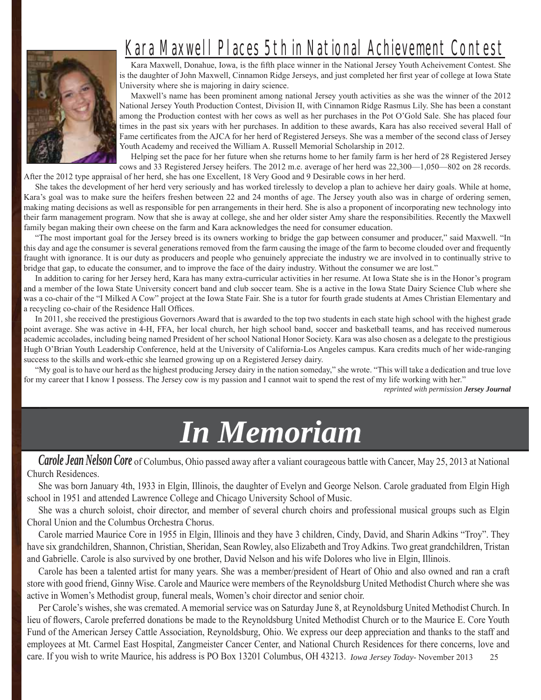

# Kara Maxwell Places 5th in National Achievement Contest

Kara Maxwell, Donahue, Iowa, is the fifth place winner in the National Jersey Youth Acheivement Contest. She is the daughter of John Maxwell, Cinnamon Ridge Jerseys, and just completed her first year of college at Iowa State University where she is majoring in dairy science.

Maxwell's name has been prominent among national Jersey youth activities as she was the winner of the 2012 National Jersey Youth Production Contest, Division II, with Cinnamon Ridge Rasmus Lily. She has been a constant among the Production contest with her cows as well as her purchases in the Pot O'Gold Sale. She has placed four times in the past six years with her purchases. In addition to these awards, Kara has also received several Hall of Fame certificates from the AJCA for her herd of Registered Jerseys. She was a member of the second class of Jersey Youth Academy and received the William A. Russell Memorial Scholarship in 2012.

Helping set the pace for her future when she returns home to her family farm is her herd of 28 Registered Jersey cows and 33 Registered Jersey heifers. The 2012 m.e. average of her herd was 22,300—1,050—802 on 28 records. After the 2012 type appraisal of her herd, she has one Excellent, 18 Very Good and 9 Desirable cows in her herd.

She takes the development of her herd very seriously and has worked tirelessly to develop a plan to achieve her dairy goals. While at home, Kara's goal was to make sure the heifers freshen between 22 and 24 months of age. The Jersey youth also was in charge of ordering semen, making mating decisions as well as responsible for pen arrangements in their herd. She is also a proponent of incorporating new technology into their farm management program. Now that she is away at college, she and her older sister Amy share the responsibilities. Recently the Maxwell family began making their own cheese on the farm and Kara acknowledges the need for consumer education.

"The most important goal for the Jersey breed is its owners working to bridge the gap between consumer and producer," said Maxwell. "In this day and age the consumer is several generations removed from the farm causing the image of the farm to become clouded over and frequently fraught with ignorance. It is our duty as producers and people who genuinely appreciate the industry we are involved in to continually strive to bridge that gap, to educate the consumer, and to improve the face of the dairy industry. Without the consumer we are lost."

In addition to caring for her Jersey herd, Kara has many extra-curricular activities in her resume. At Iowa State she is in the Honor's program and a member of the Iowa State University concert band and club soccer team. She is a active in the Iowa State Dairy Science Club where she was a co-chair of the "I Milked A Cow" project at the Iowa State Fair. She is a tutor for fourth grade students at Ames Christian Elementary and a recycling co-chair of the Residence Hall Offices.

In 2011, she received the prestigious Governors Award that is awarded to the top two students in each state high school with the highest grade point average. She was active in 4-H, FFA, her local church, her high school band, soccer and basketball teams, and has received numerous academic accolades, including being named President of her school National Honor Society. Kara was also chosen as a delegate to the prestigious Hugh O'Brian Youth Leadership Conference, held at the University of California-Los Angeles campus. Kara credits much of her wide-ranging success to the skills and work-ethic she learned growing up on a Registered Jersey dairy.

"My goal is to have our herd as the highest producing Jersey dairy in the nation someday," she wrote. "This will take a dedication and true love for my career that I know I possess. The Jersey cow is my passion and I cannot wait to spend the rest of my life working with her."

*reprinted with permission Jersey Journal*

# *In Memoriam Memoriam*

*Carole Jean Nelson Core* of Columbus, Ohio passed away after a valiant courageous battle with Cancer, May 25, 2013 at National Church Residences.

She was born January 4th, 1933 in Elgin, Illinois, the daughter of Evelyn and George Nelson. Carole graduated from Elgin High school in 1951 and attended Lawrence College and Chicago University School of Music.

She was a church soloist, choir director, and member of several church choirs and professional musical groups such as Elgin Choral Union and the Columbus Orchestra Chorus.

Carole married Maurice Core in 1955 in Elgin, Illinois and they have 3 children, Cindy, David, and Sharin Adkins "Troy". They have six grandchildren, Shannon, Christian, Sheridan, Sean Rowley, also Elizabeth and Troy Adkins. Two great grandchildren, Tristan and Gabrielle. Carole is also survived by one brother, David Nelson and his wife Dolores who live in Elgin, Illinois.

Carole has been a talented artist for many years. She was a member/president of Heart of Ohio and also owned and ran a craft store with good friend, Ginny Wise. Carole and Maurice were members of the Reynoldsburg United Methodist Church where she was active in Women's Methodist group, funeral meals, Women's choir director and senior choir.

care. If you wish to write Maurice, his address is PO Box 13201 Columbus, OH 43213. *Iowa Jersey Today*-November 2013 25 Per Carole's wishes, she was cremated. A memorial service was on Saturday June 8, at Reynoldsburg United Methodist Church. In lieu of flowers, Carole preferred donations be made to the Reynoldsburg United Methodist Church or to the Maurice E. Core Youth Fund of the American Jersey Cattle Association, Reynoldsburg, Ohio. We express our deep appreciation and thanks to the staff and employees at Mt. Carmel East Hospital, Zangmeister Cancer Center, and National Church Residences for there concerns, love and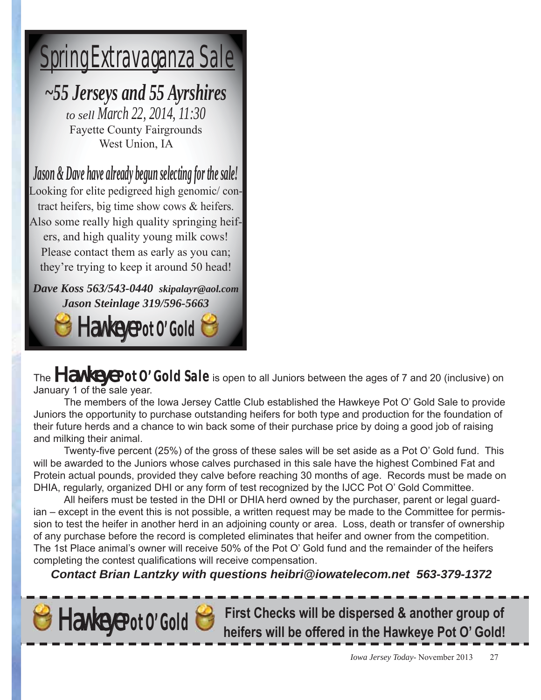# Spring Extravaganza Sale

*~55 Jerseys and 55 Ayrshires*

*to sell March 22, 2014, 11:30* Fayette County Fairgrounds West Union, IA

*Jason & Dave have already begun selecting for the sale!* Looking for elite pedigreed high genomic/ contract heifers, big time show cows & heifers. Also some really high quality springing heifers, and high quality young milk cows! Please contact them as early as you can; they're trying to keep it around 50 head!

*Dave Koss 563/543-0440 skipalayr@aol.com Jason Steinlage 319/596-5663* Hawkeye **Pot O' Gold**

The **Hawkeye Pot 0' Gold Sale** is open to all Juniors between the ages of 7 and 20 (inclusive) on January 1 of the sale year.

 The members of the Iowa Jersey Cattle Club established the Hawkeye Pot O' Gold Sale to provide Juniors the opportunity to purchase outstanding heifers for both type and production for the foundation of their future herds and a chance to win back some of their purchase price by doing a good job of raising and milking their animal.

Twenty-five percent (25%) of the gross of these sales will be set aside as a Pot O' Gold fund. This will be awarded to the Juniors whose calves purchased in this sale have the highest Combined Fat and Protein actual pounds, provided they calve before reaching 30 months of age. Records must be made on DHIA, regularly, organized DHI or any form of test recognized by the IJCC Pot O' Gold Committee.

 All heifers must be tested in the DHI or DHIA herd owned by the purchaser, parent or legal guardian – except in the event this is not possible, a written request may be made to the Committee for permission to test the heifer in another herd in an adjoining county or area. Loss, death or transfer of ownership of any purchase before the record is completed eliminates that heifer and owner from the competition. The 1st Place animal's owner will receive 50% of the Pot O' Gold fund and the remainder of the heifers completing the contest qualifications will receive compensation.

*Contact Brian Lantzky with questions heibri@iowatelecom.net 563-379-1372*



Hawkeye **Pot O' Gold First Checks will be dispersed & another group of heifers will be offered in the Hawkeye Pot O' Gold!**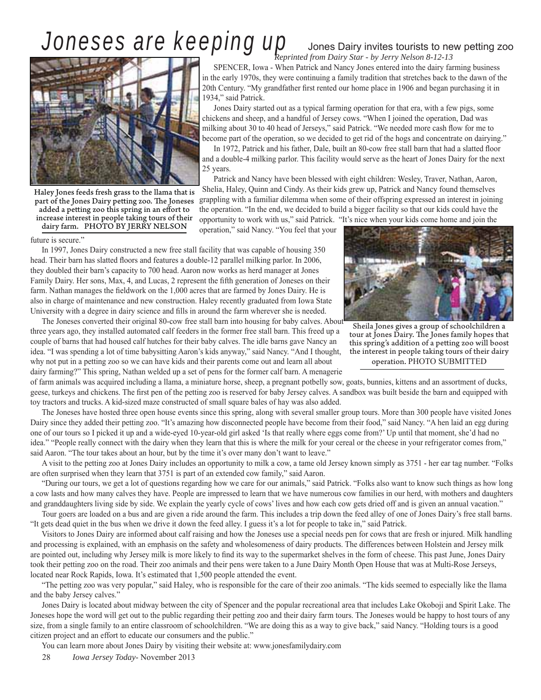# Joneses are keeping up Jones Dairy invites tourists to new petting zoo



Haley Jones feeds fresh grass to the llama that is part of the Jones Dairy petting zoo. The Joneses added a petting zoo this spring in an effort to increase interest in people taking tours of their dairy farm. PHOTO BY JERRY NELSON

future is secure."

In 1997, Jones Dairy constructed a new free stall facility that was capable of housing 350 head. Their barn has slatted floors and features a double-12 parallel milking parlor. In 2006, they doubled their barn's capacity to 700 head. Aaron now works as herd manager at Jones Family Dairy. Her sons, Max, 4, and Lucas, 2 represent the fifth generation of Joneses on their farm. Nathan manages the fieldwork on the 1,000 acres that are farmed by Jones Dairy. He is also in charge of maintenance and new construction. Haley recently graduated from Iowa State University with a degree in dairy science and fills in around the farm wherever she is needed.

The Joneses converted their original 80-cow free stall barn into housing for baby calves. About three years ago, they installed automated calf feeders in the former free stall barn. This freed up a couple of barns that had housed calf hutches for their baby calves. The idle barns gave Nancy an idea. "I was spending a lot of time babysitting Aaron's kids anyway," said Nancy. "And I thought, why not put in a petting zoo so we can have kids and their parents come out and learn all about dairy farming?" This spring, Nathan welded up a set of pens for the former calf barn. A menagerie

of farm animals was acquired including a llama, a miniature horse, sheep, a pregnant potbelly sow, goats, bunnies, kittens and an assortment of ducks, geese, turkeys and chickens. The first pen of the petting zoo is reserved for baby Jersey calves. A sandbox was built beside the barn and equipped with

toy tractors and trucks. A kid-sized maze constructed of small square bales of hay was also added. The Joneses have hosted three open house events since this spring, along with several smaller group tours. More than 300 people have visited Jones Dairy since they added their petting zoo. "It's amazing how disconnected people have become from their food," said Nancy. "A hen laid an egg during one of our tours so I picked it up and a wide-eyed 10-year-old girl asked 'Is that really where eggs come from?' Up until that moment, she'd had no idea." "People really connect with the dairy when they learn that this is where the milk for your cereal or the cheese in your refrigerator comes from," said Aaron. "The tour takes about an hour, but by the time it's over many don't want to leave."

A visit to the petting zoo at Jones Dairy includes an opportunity to milk a cow, a tame old Jersey known simply as 3751 - her ear tag number. "Folks are often surprised when they learn that 3751 is part of an extended cow family," said Aaron.

"During our tours, we get a lot of questions regarding how we care for our animals," said Patrick. "Folks also want to know such things as how long a cow lasts and how many calves they have. People are impressed to learn that we have numerous cow families in our herd, with mothers and daughters and granddaughters living side by side. We explain the yearly cycle of cows' lives and how each cow gets dried off and is given an annual vacation."

Tour goers are loaded on a bus and are given a ride around the farm. This includes a trip down the feed alley of one of Jones Dairy's free stall barns. "It gets dead quiet in the bus when we drive it down the feed alley. I guess it's a lot for people to take in," said Patrick.

Visitors to Jones Dairy are informed about calf raising and how the Joneses use a special needs pen for cows that are fresh or injured. Milk handling and processing is explained, with an emphasis on the safety and wholesomeness of dairy products. The differences between Holstein and Jersey milk are pointed out, including why Jersey milk is more likely to find its way to the supermarket shelves in the form of cheese. This past June, Jones Dairy took their petting zoo on the road. Their zoo animals and their pens were taken to a June Dairy Month Open House that was at Multi-Rose Jerseys, located near Rock Rapids, Iowa. It's estimated that 1,500 people attended the event.

"The petting zoo was very popular," said Haley, who is responsible for the care of their zoo animals. "The kids seemed to especially like the llama and the baby Jersey calves."

Jones Dairy is located about midway between the city of Spencer and the popular recreational area that includes Lake Okoboji and Spirit Lake. The Joneses hope the word will get out to the public regarding their petting zoo and their dairy farm tours. The Joneses would be happy to host tours of any size, from a single family to an entire classroom of schoolchildren. "We are doing this as a way to give back," said Nancy. "Holding tours is a good citizen project and an effort to educate our consumers and the public."

You can learn more about Jones Dairy by visiting their website at: www.jonesfamilydairy.com

28 *Iowa Jersey Today*- November 2013

# *Reprinted from Dairy Star - by Jerry Nelson 8-12-13*

SPENCER, Iowa - When Patrick and Nancy Jones entered into the dairy farming business in the early 1970s, they were continuing a family tradition that stretches back to the dawn of the 20th Century. "My grandfather first rented our home place in 1906 and began purchasing it in 1934," said Patrick.

Jones Dairy started out as a typical farming operation for that era, with a few pigs, some chickens and sheep, and a handful of Jersey cows. "When I joined the operation, Dad was milking about 30 to 40 head of Jerseys," said Patrick. "We needed more cash flow for me to become part of the operation, so we decided to get rid of the hogs and concentrate on dairying."

In 1972, Patrick and his father, Dale, built an 80-cow free stall barn that had a slatted floor and a double-4 milking parlor. This facility would serve as the heart of Jones Dairy for the next 25 years.

Patrick and Nancy have been blessed with eight children: Wesley, Traver, Nathan, Aaron, Shelia, Haley, Quinn and Cindy. As their kids grew up, Patrick and Nancy found themselves grappling with a familiar dilemma when some of their offspring expressed an interest in joining the operation. "In the end, we decided to build a bigger facility so that our kids could have the opportunity to work with us," said Patrick. "It's nice when your kids come home and join the

operation," said Nancy. "You feel that your



Sheila Jones gives a group of schoolchildren a tour at Jones Dairy. The Jones family hopes that this spring's addition of a petting zoo will boost the interest in people taking tours of their dairy operation. PHOTO SUBMITTED